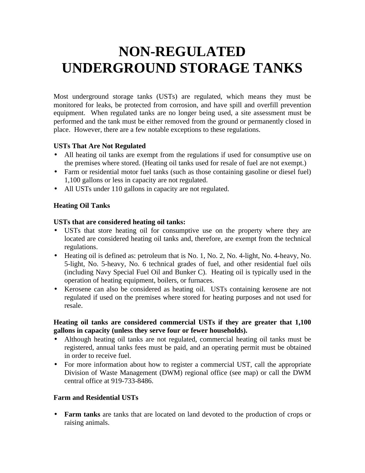# **NON-REGULATED UNDERGROUND STORAGE TANKS**

Most underground storage tanks (USTs) are regulated, which means they must be monitored for leaks, be protected from corrosion, and have spill and overfill prevention equipment. When regulated tanks are no longer being used, a site assessment must be performed and the tank must be either removed from the ground or permanently closed in place. However, there are a few notable exceptions to these regulations.

## **USTs That Are Not Regulated**

- All heating oil tanks are exempt from the regulations if used for consumptive use on the premises where stored. (Heating oil tanks used for resale of fuel are not exempt.)
- Farm or residential motor fuel tanks (such as those containing gasoline or diesel fuel) 1,100 gallons or less in capacity are not regulated.
- All USTs under 110 gallons in capacity are not regulated.

## **Heating Oil Tanks**

## **USTs that are considered heating oil tanks:**

- USTs that store heating oil for consumptive use on the property where they are located are considered heating oil tanks and, therefore, are exempt from the technical regulations.
- Heating oil is defined as: petroleum that is No. 1, No. 2, No. 4-light, No. 4-heavy, No. 5-light, No. 5-heavy, No. 6 technical grades of fuel, and other residential fuel oils (including Navy Special Fuel Oil and Bunker C). Heating oil is typically used in the operation of heating equipment, boilers, or furnaces.
- Kerosene can also be considered as heating oil. USTs containing kerosene are not regulated if used on the premises where stored for heating purposes and not used for resale.

## **Heating oil tanks are considered commercial USTs if they are greater that 1,100 gallons in capacity (unless they serve four or fewer households).**

- Although heating oil tanks are not regulated, commercial heating oil tanks must be registered, annual tanks fees must be paid, and an operating permit must be obtained in order to receive fuel.
- For more information about how to register a commercial UST, call the appropriate Division of Waste Management (DWM) regional office (see map) or call the DWM central office at 919-733-8486.

## **Farm and Residential USTs**

**Farm tanks** are tanks that are located on land devoted to the production of crops or raising animals.